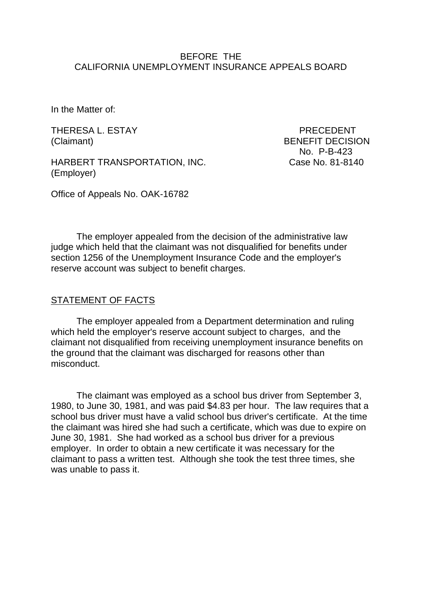### BEFORE THE CALIFORNIA UNEMPLOYMENT INSURANCE APPEALS BOARD

In the Matter of:

THERESA L. ESTAY THERESA L. ESTAY

HARBERT TRANSPORTATION, INC. Case No. 81-8140 (Employer)

(Claimant) BENEFIT DECISION No. P-B-423

Office of Appeals No. OAK-16782

The employer appealed from the decision of the administrative law judge which held that the claimant was not disqualified for benefits under section 1256 of the Unemployment Insurance Code and the employer's reserve account was subject to benefit charges.

## STATEMENT OF FACTS

The employer appealed from a Department determination and ruling which held the employer's reserve account subject to charges, and the claimant not disqualified from receiving unemployment insurance benefits on the ground that the claimant was discharged for reasons other than misconduct.

The claimant was employed as a school bus driver from September 3, 1980, to June 30, 1981, and was paid \$4.83 per hour. The law requires that a school bus driver must have a valid school bus driver's certificate. At the time the claimant was hired she had such a certificate, which was due to expire on June 30, 1981. She had worked as a school bus driver for a previous employer. In order to obtain a new certificate it was necessary for the claimant to pass a written test. Although she took the test three times, she was unable to pass it.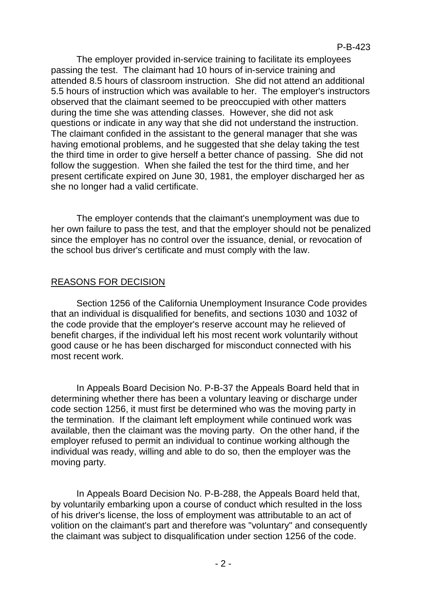The employer provided in-service training to facilitate its employees passing the test. The claimant had 10 hours of in-service training and attended 8.5 hours of classroom instruction. She did not attend an additional 5.5 hours of instruction which was available to her. The employer's instructors observed that the claimant seemed to be preoccupied with other matters during the time she was attending classes. However, she did not ask questions or indicate in any way that she did not understand the instruction. The claimant confided in the assistant to the general manager that she was having emotional problems, and he suggested that she delay taking the test the third time in order to give herself a better chance of passing. She did not follow the suggestion. When she failed the test for the third time, and her present certificate expired on June 30, 1981, the employer discharged her as she no longer had a valid certificate.

The employer contends that the claimant's unemployment was due to her own failure to pass the test, and that the employer should not be penalized since the employer has no control over the issuance, denial, or revocation of the school bus driver's certificate and must comply with the law.

# REASONS FOR DECISION

Section 1256 of the California Unemployment Insurance Code provides that an individual is disqualified for benefits, and sections 1030 and 1032 of the code provide that the employer's reserve account may he relieved of benefit charges, if the individual left his most recent work voluntarily without good cause or he has been discharged for misconduct connected with his most recent work.

In Appeals Board Decision No. P-B-37 the Appeals Board held that in determining whether there has been a voluntary leaving or discharge under code section 1256, it must first be determined who was the moving party in the termination. If the claimant left employment while continued work was available, then the claimant was the moving party. On the other hand, if the employer refused to permit an individual to continue working although the individual was ready, willing and able to do so, then the employer was the moving party.

In Appeals Board Decision No. P-B-288, the Appeals Board held that, by voluntarily embarking upon a course of conduct which resulted in the loss of his driver's license, the loss of employment was attributable to an act of volition on the claimant's part and therefore was "voluntary" and consequently the claimant was subject to disqualification under section 1256 of the code.